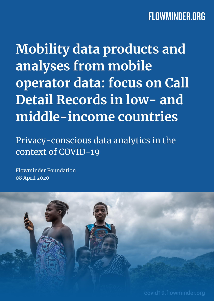**Mobility data products and** analyses from mobile operator data: focus on Call Detail Records in low- and middle-income countries

Privacy-conscious data analytics in the context of COVID-19

**Flowminder Foundation** 08 April 2020

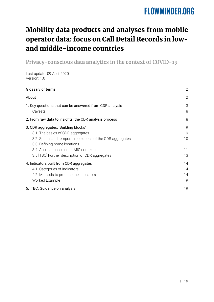### Mobility data products and analyses from mobile operator data: focus on Call Detail Records in lowand middle-income countries

**Privacy-conscious data analytics in the context of COVID-19**

Last update: 09 April 2020 Version: 1.0

| Glossary of terms                                                                                                                                                                                                  | $\mathbf{2}$                        |
|--------------------------------------------------------------------------------------------------------------------------------------------------------------------------------------------------------------------|-------------------------------------|
| About                                                                                                                                                                                                              | $\overline{2}$                      |
| 1. Key questions that can be answered from CDR analysis<br>Caveats                                                                                                                                                 | 3<br>8                              |
| 2. From raw data to insights: the CDR analysis process                                                                                                                                                             | 8                                   |
| 3. CDR aggregates: 'Building blocks'<br>3.1. The basics of CDR aggregates<br>3.2. Spatial and temporal resolutions of the CDR aggregates<br>3.3. Defining home locations<br>3.4. Applications in non-LMIC contexts | 9<br>$\mathsf{Q}$<br>10<br>11<br>11 |
| 3.5 [TBC] Further description of CDR aggregates<br>4. Indicators built from CDR aggregates<br>4.1. Categories of indicators<br>4.2. Methods to produce the indicators<br>Worked Example                            | 13<br>14<br>14<br>14<br>19          |
| 5. TBC: Guidance on analysis                                                                                                                                                                                       | 19                                  |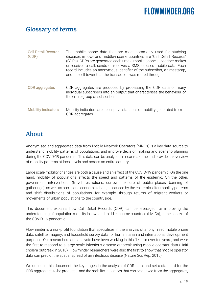### <span id="page-2-0"></span>**Glossary of terms**

| <b>Call Detail Records</b><br>(CDR) | The mobile phone data that are most commonly used for studying<br>diseases in low- and middle-income countries are 'Call Detail Records'<br>(CDRs). CDRs are generated each time a mobile phone subscriber makes<br>or receives a call, sends or receives a SMS, or uses mobile data. Each<br>record includes an anonymous identifier of the subscriber, a timestamp,<br>and the cell tower that the transaction was routed through. |
|-------------------------------------|--------------------------------------------------------------------------------------------------------------------------------------------------------------------------------------------------------------------------------------------------------------------------------------------------------------------------------------------------------------------------------------------------------------------------------------|
| <b>CDR</b> aggregates               | CDR aggregates are produced by processing the CDR data of many<br>individual subscribers into an output that characterises the behaviour of<br>the entire group of subscribers.                                                                                                                                                                                                                                                      |
| <b>Mobility indicators</b>          | Mobility indicators are descriptive statistics of mobility generated from<br>CDR aggregates.                                                                                                                                                                                                                                                                                                                                         |

### <span id="page-2-1"></span>**About**

Anonymised and aggregated data from Mobile Network Operators (MNOs) is a key data source to understand mobility patterns of populations, and improve decision making and scenario planning during the COVID-19 pandemic. This data can be analysed in near real-time and provide an overview of mobility patterns at local levels and across an entire country.

Large scale mobility changes are both a cause and an effect of the COVID-19 pandemic. On the one hand, mobility of populations affects the speed and patterns of the epidemic. On the other, government interventions (travel restrictions, curfews, closure of public places, banning of gatherings), as well as social and economic changes caused by the epidemic, alter mobility patterns and shift distributions of populations, for example, through returns of migrant workers or movements of urban populations to the countryside.

This document explains how Call Detail Records (CDR) can be leveraged for improving the understanding of population mobility in low- and middle-income countries (LMICs), in the context of the COVID-19 pandemic.

Flowminder is a non-profit foundation that specialises in the analysis of anonymised mobile phone data, satellite imagery, and household survey data for humanitarian and international development purposes. Our researchers and analysts have been working in this field for over ten years, and were the first to respond to a large-scale infectious disease outbreak using mobile operator data (Haiti cholera outbreak in 2010). Flowminder researchers were also the first to show that mobile operator data can predict the spatial spread of an infectious disease (Nature Sci. Rep. 2015).

We define in this document the key stages in the analysis of CDR data, and set a standard for the CDR aggregates to be produced, and the mobility indicators that can be derived from the aggregates,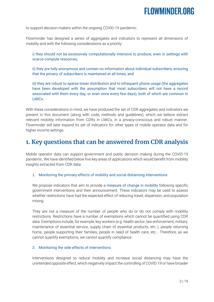to support decision makers within the ongoing COVID-19 pandemic.

Flowminder has designed a series of aggregates and indicators to represent all dimensions of mobility and with the following considerations as a priority:

i) they should not be excessively computationally intensive to produce, even in settings with scarce compute resources,

ii) they are fully anonymous and contain no information about individual subscribers, ensuring that the privacy of subscribers is maintained at all times, and

iii) they are robust to sparse tower distribution and to infrequent phone usage (the aggregates have been developed with the assumption that most subscribers will not have a record associated with them every day, or even once every few days), both of which are common in LMICs.

With these considerations in mind, we have produced the set of CDR aggregates and indicators we present in this document (along with code, methods and guidelines), which we believe extract relevant mobility information from CDRs in LMICs, in a privacy-conscious and robust manner. Flowminder will later expand its set of indicators for other types of mobile operator data and for higher income settings.

### <span id="page-3-0"></span>**1. Key questions that can be answered from CDR analysis**

Mobile operator data can support government and public decision making during the COVID-19 pandemic. We have identified below five key areas of applications which would benefit from mobility insights extracted from CDR data:

1. Monitoring the primary effects of mobility and social distancing interventions

We propose indicators that aim to provide a measure of change in mobility following specific government interventions and their announcement. These indicators may be used to assess whether restrictions have had the expected effect of reducing travel, dispersion, and population mixing.

They are not a measure of the number of people who do or do not comply with mobility restrictions. Restrictions have a number of exemptions which cannot be quantified using CDR data. Exemptions include, for example, key workers (e.g. health sector, law enforcement, military, maintenance of essential service, supply chain of essential products, etc..), people returning home, people supporting their families, people in need of health care, etc... Therefore, as we cannot quantify exemptions, we cannot quantify compliance.

#### 2. Monitoring the side effects of interventions

Interventions designed to reduce mobility and increase social distancing may have the unintended opposite effect, which negatively impact the controlling of COVID-19 or have broader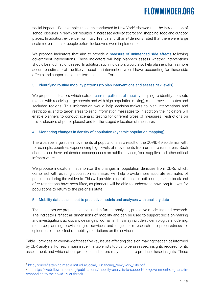social impacts. For example, research conducted in New York<sup>1</sup> showed that the introduction of school closures in New York resulted in increased activity at grocery, shopping, food and outdoor places. In addition, evidence from Italy, France and Ghana<sup>2</sup> demonstrated that there were large scale movements of people before lockdowns were implemented.

We propose indicators that aim to provide a measure of unintended side effects following government interventions. These indicators will help planners assess whether interventions should be modified or ceased. In addition, such indicators would also help planners form a more accurate estimate of the likely impact an intervention would have, accounting for these side effects and supporting longer term planning efforts.

#### 3. Identifying routine mobility patterns (to plan interventions and assess risk levels)

We propose indicators which extract current patterns of mobility, helping to identify hotspots (places with receiving large crowds and with high population mixing), most travelled routes and secluded regions. This information would help decision-makers to plan interventions and restrictions, and to target areas to send information messages to. In addition, the indicators will enable planners to conduct scenario testing for different types of measures (restrictions on travel, closures of public places) and for the staged relaxation of measures.

#### 4. Monitoring changes in density of population (dynamic population mapping)

There can be large scale movements of populations as a result of the COVID-19 epidemic, with, for example, countries experiencing high levels of movements from urban to rural areas. Such changes can have unintended consequences on public services, food supplies and other critical infrastructure.

We propose indicators that monitor the changes in population densities from CDRs which, combined with existing population estimates, will help provide more accurate estimates of population during the epidemic. This will provide a useful indicator both during the outbreak and after restrictions have been lifted, as planners will be able to understand how long it takes for populations to return to the pre-crisis state.

#### 5. Mobility data as an input to predictive models and analyses with ancillary data

The indicators we propose can be used in further analyses, predictive modelling and research. The indicators reflect all dimensions of mobility and can be used to support decision-making and investigations across a wide range of domains. This may include epidemiological modelling, resource planning, provisioning of services, and longer term research into preparedness for epidemics or the effect of mobility restrictions on the environment.

Table 1 provides an overview of these five key issues affecting decision-making that can be informed by CDR analysis. For each main issue, the table lists topics to be assessed, insights required for its assessment, and which of our proposed indicators may be used to produce these insights. These

-

<sup>1</sup> [http://curveflattening.media.mit.edu/Social\\_Distancing\\_New\\_York\\_City.pdf](http://curveflattening.media.mit.edu/Social_Distancing_New_York_City.pdf)

<sup>.&</sup>lt;br>2 [https://web.flowminder.org/publications/mobility-analysis-to-support-the-government-of-ghana-in](https://web.flowminder.org/publications/mobility-analysis-to-support-the-government-of-ghana-in-responding-to-the-covid-19-outbreak)[responding-to-the-covid-19-outbreak](https://web.flowminder.org/publications/mobility-analysis-to-support-the-government-of-ghana-in-responding-to-the-covid-19-outbreak)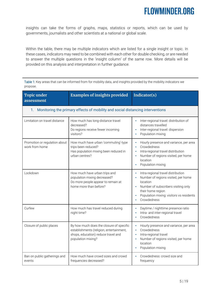insights can take the forms of graphs, maps, statistics or reports, which can be used by governments, journalists and other scientists at a national or global scale.

Within the table, there may be multiple indicators which are listed for a single insight or topic. In these cases, indicators may need to be combined with each other for double checking, or are needed to answer the multiple questions in the 'insight column' of the same row. More details will be provided on this analysis and interpretation in further guidance.

Table 1: Key areas that can be informed from for mobility data, and insights provided by the mobility indicators we propose.

| <b>Topic under</b><br>assessment                                                                                                                                          | <b>Examples of insights provided</b>                                                                                                              | Indicator(s)                                                                                                                                                                                                                |
|---------------------------------------------------------------------------------------------------------------------------------------------------------------------------|---------------------------------------------------------------------------------------------------------------------------------------------------|-----------------------------------------------------------------------------------------------------------------------------------------------------------------------------------------------------------------------------|
| 1.                                                                                                                                                                        | Monitoring the primary effects of mobility and social distancing interventions                                                                    |                                                                                                                                                                                                                             |
| Limitation on travel distance                                                                                                                                             | How much has long-distance travel<br>decreased?<br>Do regions receive fewer incoming<br>visitors?                                                 | Inter-regional travel: distribution of<br>٠<br>distances travelled<br>Inter-regional travel: dispersion<br>Population mixing<br>٠                                                                                           |
| Promotion or regulation about<br>How much have urban 'commuting'-type<br>work from home<br>trips been reduced?<br>Has population mixing been reduced in<br>urban centres? |                                                                                                                                                   | Hourly presence and variance, per area<br>٠<br>Crowdedness<br>×<br>Intra-regional travel distribution<br>٠<br>Number of regions visited, per home<br>location<br>Population mixing<br>٠                                     |
| Lockdown                                                                                                                                                                  | How much have urban trips and<br>population mixing decreased?<br>Do more people appear to remain at<br>home more than before?                     | Intra-regional travel distribution<br>٠<br>Number of regions visited, per home<br>٠<br>location<br>Number of subscribers visiting only<br>٠<br>their home region<br>Population mixing: visitors vs residents<br>Crowdedness |
| Curfew                                                                                                                                                                    | How much has travel reduced during<br>night time?                                                                                                 | Daytime / nighttime presence ratio<br>٠<br>Intra- and inter-regional travel<br>٠<br>Crowdedness<br>٠                                                                                                                        |
| Closure of public places                                                                                                                                                  | By how much does the closure of specific<br>establishments (religion, entertainment,<br>shops, education) reduce travel and<br>population mixing? | Hourly presence and variance, per area<br>Crowdedness<br>×<br>Intra-regional travel<br>×<br>Number of regions visited, per home<br>٠<br>location<br>Population mixing                                                       |
| Ban on public gatherings and<br>events                                                                                                                                    | How much have crowd sizes and crowd<br>frequencies decreased?                                                                                     | Crowdedness: crowd size and<br>frequency                                                                                                                                                                                    |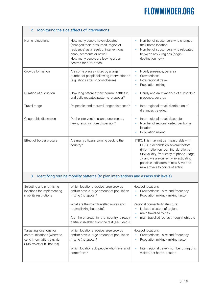| Monitoring the side effects of interventions<br>2.                                                             |                                                                                                                                                                                                              |                                                                                                                                                                                                                                                                                     |  |  |  |
|----------------------------------------------------------------------------------------------------------------|--------------------------------------------------------------------------------------------------------------------------------------------------------------------------------------------------------------|-------------------------------------------------------------------------------------------------------------------------------------------------------------------------------------------------------------------------------------------------------------------------------------|--|--|--|
| Home relocations                                                                                               | How many people have relocated<br>(changed their -presumed- region of<br>residence) as a result of interventions,<br>announcements or news?<br>How many people are leaving urban<br>centres for rural areas? | Number of subscribers who changed<br>their home location<br>Number of subscribers who relocated<br>٠<br>between any 2 regions (origin-<br>destination flow)                                                                                                                         |  |  |  |
| Crowds formation                                                                                               | Are some places visited by a larger<br>number of people following interventions?<br>(e.g. shops after school closure)                                                                                        | Hourly presence, per area<br>Crowdedness<br>Intra-regional travel<br>٠<br>Population mixing<br>٠                                                                                                                                                                                    |  |  |  |
| Duration of disruption                                                                                         | How long before a 'new normal' settles in<br>and daily repeated patterns re-appear?                                                                                                                          | Hourly and daily variance of subscriber<br>presence, per area                                                                                                                                                                                                                       |  |  |  |
| Travel range                                                                                                   | Do people tend to travel longer distances?                                                                                                                                                                   | Inter-regional travel: distribution of<br>٠<br>distances travelled                                                                                                                                                                                                                  |  |  |  |
| Geographic dispersion                                                                                          | Do the interventions, announcements,<br>news, result in more dispersion?                                                                                                                                     | Inter-regional travel: dispersion<br>Number of regions visited, per home<br>location<br>Population mixing                                                                                                                                                                           |  |  |  |
| Effect of border closure                                                                                       | Are many citizens coming back to the<br>country?                                                                                                                                                             | [TBC: This may not be measurable with<br>CDRs. It depends on several factors<br>(information on roaming, duration of<br>SIM validity, frequency of phone usage,<br>), and we are currently investigating<br>possible indicators of new SIMs and<br>new arrivals to points of entry] |  |  |  |
| 3.                                                                                                             | Identifying routine mobility patterns (to plan interventions and assess risk levels)                                                                                                                         |                                                                                                                                                                                                                                                                                     |  |  |  |
| Selecting and prioritising<br>locations for implementing<br>mobility restrictions                              | Which locations receive large crowds<br>and/or have a large amount of population<br>mixing (hotspots)?                                                                                                       | Hotspot locations<br>Crowdedness - size and frequency<br>٠<br>Population mixing - mixing factor                                                                                                                                                                                     |  |  |  |
|                                                                                                                | What are the main travelled routes and<br>routes linking hotspots?<br>Are there areas in the country already<br>partially shielded from the rest (secluded)?                                                 | Regional connectivity structure:<br>isolated clusters of regions<br>main travelled routes<br>main travelled routes through hotspots<br>٠                                                                                                                                            |  |  |  |
| Targeting locations for<br>communications (where to<br>send information, e.g. via<br>SMS, voice or billboards) | Which locations receive large crowds<br>and/or have a large amount of population<br>mixing (hotspots)?                                                                                                       | Hotspot locations<br>Crowdedness - size and frequency<br>Population mixing - mixing factor<br>٠                                                                                                                                                                                     |  |  |  |
|                                                                                                                | Which locations do people who travel a lot<br>come from?                                                                                                                                                     | Inter-regional travel - number of regions<br>٠<br>visited, per home location                                                                                                                                                                                                        |  |  |  |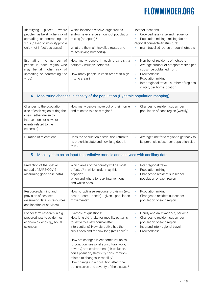| Identifying<br>where<br>places<br>people may be at higher risk of<br>spreading or contracting the<br>virus (based on mobility profile<br>only - not infectious cases) | Which locations receive large crowds<br>and/or have a large amount of population<br>mixing (hotspots)?<br>What are the main travelled routes and<br>routes linking hotsports)?                                                                                                                                                                                                                                                                                                                         | Hotspot locations<br>Crowdedness - size and frequency<br>Population mixing - mixing factor<br>×<br>Regional connectivity structure:<br>main travelled routes through hotspots                                                         |  |
|-----------------------------------------------------------------------------------------------------------------------------------------------------------------------|--------------------------------------------------------------------------------------------------------------------------------------------------------------------------------------------------------------------------------------------------------------------------------------------------------------------------------------------------------------------------------------------------------------------------------------------------------------------------------------------------------|---------------------------------------------------------------------------------------------------------------------------------------------------------------------------------------------------------------------------------------|--|
| Estimating the number of<br>people in each region who<br>may be at higher risk of<br>spreading or contracting the<br>virus?                                           | How many people in each area visit a<br>hotspot / multiple hotspots?<br>How many people in each area visit high-<br>mixing areas?                                                                                                                                                                                                                                                                                                                                                                      | Number of residents of hotspots<br>٠<br>Average number of hotspots visited per<br>subscriber, obtained from:<br>Crowdedness<br>٠<br>Population mixing<br>٠<br>Inter-regional travel - number of regions<br>visited, per home location |  |
| 4.                                                                                                                                                                    | Monitoring changes in density of the population (Dynamic population mapping)                                                                                                                                                                                                                                                                                                                                                                                                                           |                                                                                                                                                                                                                                       |  |
| Changes to the population<br>size of each region during the<br>crisis (either driven by<br>interventions or news or<br>events related to the<br>epidemic)             | How many people move out of their home<br>and relocate to a new region?                                                                                                                                                                                                                                                                                                                                                                                                                                | Changes to resident subscriber<br>ú,<br>population of each region (weekly)                                                                                                                                                            |  |
| Duration of relocations                                                                                                                                               | Does the population distribution return to<br>its pre-crisis state and how long does it<br>take?                                                                                                                                                                                                                                                                                                                                                                                                       | Average time for a region to get back to<br>its pre-crisis subscriber population size                                                                                                                                                 |  |
| 5.                                                                                                                                                                    | Mobility data as an input to predictive models and analyses with ancillary data                                                                                                                                                                                                                                                                                                                                                                                                                        |                                                                                                                                                                                                                                       |  |
| Prediction of the spatial<br>spread of SARS-COV-2<br>(assuming good case data)                                                                                        | Which areas of the country will be most<br>affected? In which order may this<br>happen?<br>When and where to relax interventions<br>and which ones?                                                                                                                                                                                                                                                                                                                                                    | Inter-regional travel<br>×<br>Population mixing<br>٠<br>Changes to resident subscriber<br>٠<br>population of each region                                                                                                              |  |
| Resource planning and<br>provision of services<br>(assuming data on resources<br>and location of services)                                                            | How to optimise resource provision (e.g.<br>health care needs) given population<br>movements?                                                                                                                                                                                                                                                                                                                                                                                                          | Population mixing<br>×<br>Changes to resident subscriber<br>population of each region                                                                                                                                                 |  |
| Longer term research in e.g.<br>preparedness to epidemics,<br>economics, ecology, social<br>sciences                                                                  | Example of questions:<br>How long did it take for mobility patterns<br>to settle to a new normal after<br>interventions? How disruptive has the<br>crisis been and for how long (resilience)?<br>How are changes in economic variables<br>(production, seasonal agricultural work,<br>poverty) and environment (air pollution,<br>noise pollution, electricity consumption)<br>related to changes in mobility?<br>How changes in air pollution affect the<br>transmission and severity of the disease? | Hourly and daily variance, per area<br>٠<br>Changes to resident subscriber<br>population of each region<br>Intra and inter-regional travel<br>٠<br>Crowdedness                                                                        |  |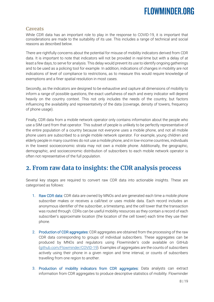#### <span id="page-8-0"></span>**Caveats**

While CDR data has an important role to play in the response to COVID-19, it is important that considerations are made to the suitability of its use. This includes a range of technical and social reasons as described below.

There are rightfully concerns about the potential for misuse of mobility indicators derived from CDR data. It is important to note that indicators will not be provided in real-time but with a delay of at least a few days, to serve for analysis. This delay would prevent its use to identify ongoing gatherings and to be used as a policing tool for example. In addition, indications of changes in mobility are not indications of level of compliance to restrictions, as to measure this would require knowledge of exemptions and a finer spatial resolution in most cases.

Secondly, as the indicators are designed to be exhaustive and capture all dimensions of mobility to inform a range of possible questions, the exact usefulness of each and every indicator will depend heavily on the country context. This not only includes the needs of the country, but factors influencing the availability and representativity of the data (coverage, density of towers, frequency of phone usage).

Finally, CDR data from a mobile network operator only contains information about the people who use a SIM card from that operator. This subset of people is unlikely to be perfectly representative of the entire population of a country because not everyone uses a mobile phone, and not all mobile phone users are subscribed to a single mobile network operator. For example, young children and elderly people in many countries do not use a mobile phone, and in low-income countries, individuals in the lowest socioeconomic strata may not own a mobile phone. Additionally, the geographic, demographic, and socioeconomic distribution of subscribers to each mobile network operator is often not representative of the full population.

### <span id="page-8-1"></span>**2. From raw data to insights: the CDR analysis process**

Several key stages are required to convert raw CDR data into actionable insights. These are categorised as follows:

- 1. Raw CDR data: CDR data are owned by MNOs and are generated each time a mobile phone subscriber makes or receives a call/text or uses mobile data. Each record includes an anonymous identifier of the subscriber, a timestamp, and the cell tower that the transaction was routed through. CDRs can be useful mobility resources as they contain a record of each subscriber's approximate location (the location of the cell tower) each time they use their phone.
- 2. Production of CDR aggregates: CDR aggregates are obtained from the processing of the raw CDR data corresponding to groups of individual subscribers. These aggregates can be produced by MNOs and regulators using Flowminder's code available on GitHub [\(github.com/Flowminder/COVID-19\)](https://github.com/Flowminder/COVID-19). Examples of aggregates are the counts of subscribers actively using their phone in a given region and time interval, or counts of subscribers travelling from one region to another.
- 3. Production of mobility indicators from CDR aggregates: Data analysts can extract information from CDR aggregates to produce descriptive statistics of mobility. Flowminder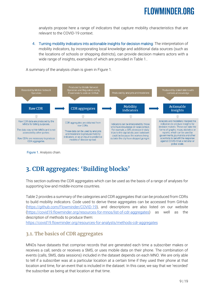analysts propose here a range of indicators that capture mobility characteristics that are relevant to the COVID-19 context.

4. Turning mobility indicators into actionable insights for decision making: The interpretation of mobility indicators, by incorporating local knowledge and additional data sources (such as the locations of schools or shopping districts), can provide decision makers actors with a wide range of insights, examples of which are provided in Table 1..

A summary of the analysis chain is given in Figure 1.



Figure 1. Analysis chain.

### <span id="page-9-0"></span>**3. CDR aggregates: 'Building blocks'**

This section outlines the CDR aggregates which can be used as the basis of a range of analyses for supporting low-and middle-income countries.

Table 2 provides a summary of the categories and CDR aggregates that can be produced from CDRs to build mobility indicators. Code used to derive these aggregates can be accessed from GitHub [\(https://github.com/Flowminder/COVID-19\)](https://github.com/Flowminder/COVID-19), and descriptions are also listed on our website [\(https://covid19.flowminder.org/resources-for-mnos/list-of-cdr-aggregates\)](https://covid19.flowminder.org/resources-for-mnos/list-of-cdr-aggregates) as well as the description of methods to produce them:

<https://covid19.flowminder.org/resources-for-analysts/methods-cdr-aggregates>

### <span id="page-9-1"></span>**3.1. The basics of CDR aggregates**

MNOs have datasets that comprise records that are generated each time a subscriber makes or receives a call, sends or receives a SMS, or uses mobile data on their phone. The combination of events (calls, SMS, data sessions) included in the dataset depends on each MNO. We are only able to tell if a subscriber was at a particular location at a certain time if they used their phone at that location and time, for an event that is included in the dataset. In this case, we say that we 'recorded' the subscriber as being at that location at that time.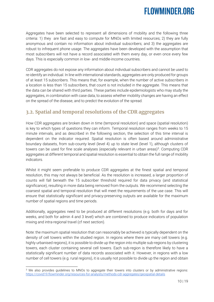Aggregates have been selected to represent all dimensions of mobility and the following three criteria: 1) they are fast and easy to compute for MNOs with limited resources; 2) they are fully anonymous and contain no information about individual subscribers; and 3) the aggregates are robust to infrequent phone usage. The aggregates have been developed with the assumption that most subscribers will not have a record associated with them every day, or even once every few days. This is especially common in low- and middle-income countries.

CDR aggregates do not expose any information about individual subscribers and cannot be used to re-identify an individual. In line with international standards, aggregates are only produced for groups of at least 15 subscribers. This means that, for example, when the number of active subscribers in a location is less than 15 subscribers, that count is not included in the aggregate. This means that the data can be shared with third parties. These parties include epidemiologists who may study the aggregates, in combination with case data, to assess whether mobility changes are having an effect on the spread of the disease, and to predict the evolution of the spread.

### <span id="page-10-0"></span>**3.2. Spatial and temporal resolutions of the CDR aggregates**

How CDR aggregates are broken down in time (temporal resolution) and space (spatial resolution) is key to which types of questions they can inform. Temporal resolution ranges from weeks to 15 minute intervals, and as described in the following section, the selection of this time interval is dependent on the indicator required. Spatial resolution is often based around administrative boundary datasets, from sub-county level (level 4) up to state level (level 1), although clusters of towers can be used for fine scale analyses (especially relevant in urban areas)<sup>3</sup>. Computing CDR aggregates at different temporal and spatial resolution is essential to obtain the full range of mobility indicators.

Whilst it might seem preferable to produce CDR aggregates at the finest spatial and temporal resolution, this may not always be beneficial. As the resolution is increased, a larger proportion of counts will fall beneath the 15 subscriber threshold required for data privacy (and statistical significance), resulting in more data being removed from the outputs. We recommend selecting the coarsest spatial and temporal resolution that will meet the requirements of the use case. This will ensure that statistically significant and privacy-preserving outputs are available for the maximum number of spatial regions and time periods.

Additionally, aggregates need to be produced at different resolutions (e.g. both for days and for weeks, and both for admin 4 and 3 level) which are combined to produce indicators of population mixing and intra-regional travel (cf next section).

Note: the maximum spatial resolution that can reasonably be achieved is typically dependent on the density of cell towers within the studied region. In regions where there are many cell towers (e.g. highly urbanised regions), it is possible to divide up the region into multiple sub-regions by clustering towers, each cluster containing several cell towers. Each sub-region is therefore likely to have a statistically significant number of data records associated with it. However, in regions with a low number of cell towers (e.g. rural regions), it is usually not possible to divide up the region and obtain

<sup>-</sup><sup>3</sup> We also provides guidelines to MNOs to aggregate their towers into clusters or by administrative regions: <https://covid19.flowminder.org/resources-for-analysts/methods-cdr-aggregates/geospatial-details>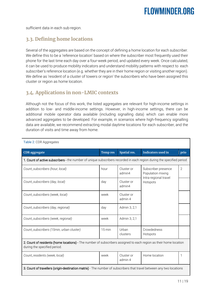sufficient data in each sub-region.

### <span id="page-11-0"></span>**3.3. Defining home locations**

Several of the aggregates are based on the concept of defining a home location for each subscriber. We define this to be a 'reference location' based on where the subscriber most frequently used their phone for the last time each day over a four-week period, and updated every week. Once calculated, it can be used to produce mobility indicators and understand mobility patterns with respect to each subscriber's reference location (e.g. whether they are in their home region or visiting another region). We define as 'resident of a cluster of towers or region' the subscribers who have been assigned this cluster or region as home location.

### <span id="page-11-1"></span>**3.4. Applications in non-LMIC contexts**

Although not the focus of this work, the listed aggregates are relevant for high-income settings in addition to low- and middle-income settings. However, in high-income settings, there can be additional mobile operator data available (including signalling data) which can enable more advanced aggregates to be developed. For example, in scenarios where high-frequency signalling data are available, we recommend extracting modal daytime locations for each subscriber, and the duration of visits and time away from home.

| Table 2: CDR Aggregates                                                                                                                           |                  |                       |                                                                   |              |  |
|---------------------------------------------------------------------------------------------------------------------------------------------------|------------------|-----------------------|-------------------------------------------------------------------|--------------|--|
| <b>CDR</b> aggregate                                                                                                                              | <b>Temp res</b>  | Spatial res.          | <b>Indicators used in</b>                                         | prio         |  |
| 1. Count of active subscribers - the number of unique subscribers recorded in each region during the specified period                             |                  |                       |                                                                   |              |  |
| Count_subscribers (hour, local)                                                                                                                   | hour             | Cluster or<br>admin4  | Subscriber presence<br>Population mixing<br>Intra-regional travel | $\mathbf{2}$ |  |
| Count_subscribers (day, local)                                                                                                                    | day              | Cluster or<br>admin4  | Hotspots                                                          |              |  |
| Count_subscribers (week, local)                                                                                                                   | week             | Cluster or<br>admin 4 |                                                                   |              |  |
| Count_subscribers (day, regional)                                                                                                                 | day              | Admin 3, 2,1          |                                                                   |              |  |
| Count_subscribers (week, regional)                                                                                                                | week             | Admin 3, 2,1          |                                                                   |              |  |
| Count_subscribers (15min, urban cluster)                                                                                                          | $15 \text{ min}$ | Urban<br>clusters     | Crowdedness<br>Hotspots                                           |              |  |
| 2. Count of residents (home locations) - The number of subscribers assigned to each region as their home location<br>during the specified period. |                  |                       |                                                                   |              |  |
| Count_residents (week, local)                                                                                                                     | week             | Cluster or<br>admin 4 | Home location                                                     |              |  |
| 3. Count of travellers (origin-destination matrix) - The number of subscribers that travel between any two locations                              |                  |                       |                                                                   |              |  |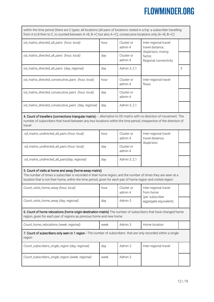| within the time period (there are 2 types: all locations (all pairs of locations visited in a trip: a subscriber travelling<br>from A to B then to C, is counted between A->B, B->C but also A->C), consecutive locations only (A->B, B->C)                                               |      |                       |                                                          |   |  |
|-------------------------------------------------------------------------------------------------------------------------------------------------------------------------------------------------------------------------------------------------------------------------------------------|------|-----------------------|----------------------------------------------------------|---|--|
| od_matrix_directed_all_pairs (hour, local)                                                                                                                                                                                                                                                | hour | Cluster or<br>admin 4 | Inter-regional travel:<br>travel distance,               |   |  |
| od_matrix_directed_all_pairs (hour, local)                                                                                                                                                                                                                                                | day  | Cluster or<br>admin 4 | dispersion, mixing<br>factor,<br>Regional connectivity   |   |  |
| od_matrix_directed_all_pairs (day, regional)                                                                                                                                                                                                                                              | day  | Admin 3, 2,1          |                                                          | 3 |  |
| od_matrix_directed_consecutive_pairs (hour, local)                                                                                                                                                                                                                                        | hour | Cluster or<br>admin 4 | Inter-regional travel:<br>flows                          |   |  |
| od_matrix_directed_consecutive_pairs (hour, local)                                                                                                                                                                                                                                        | day  | Cluster or<br>admin 4 |                                                          |   |  |
| od_matrix_directed_consecutive_pairs (day, regional)                                                                                                                                                                                                                                      | day  | Admin 3, 2,1          |                                                          |   |  |
| 4. Count of travellers (connections triangular matrix) -: alternative to OD matrix with no direction of movement. The<br>number of subscribers that travel between any two locations within the time period, irrespective of the direction of<br>travel                                   |      |                       |                                                          |   |  |
| od_matrix_undirected_all_pairs (hour, local)                                                                                                                                                                                                                                              | hour | Cluster or<br>admin 4 | Inter-regional travel:<br>travel distance,<br>dispersion |   |  |
| od_matrix_undirected_all_pairs (hour, local)                                                                                                                                                                                                                                              | day  | Cluster or<br>admin 4 |                                                          |   |  |
| od_matrix_undirected_all_pairs(day, regional)                                                                                                                                                                                                                                             | day  | Admin 3, 2,1          |                                                          |   |  |
| 5. Count of visits at home and away (home-away matrix)<br>The number of times a subscriber is recorded in their home region, and the number of times they are seen at a<br>location that is not their home, within the time period, given for each pair of home region and visited region |      |                       |                                                          |   |  |
| Count_visits_home_away (hour, local)                                                                                                                                                                                                                                                      | hour | Cluster or<br>admin 4 | Inter-regional travel<br>from home                       |   |  |
| Count_visits_home_away (day, regional)                                                                                                                                                                                                                                                    | day  | Admin 3               | (per subscriber<br>aggregate equivalent)                 |   |  |
| 6. Count of home relocations (home origin-destination matrix) The number of subscribers that have changed home<br>region, given for each pair of regions as previous home and new home                                                                                                    |      |                       |                                                          |   |  |
| Count_home_relocations (week, regional)                                                                                                                                                                                                                                                   | week | Admin 3               | Home location                                            |   |  |
| 7. Count of subscribers only seen in 1 region - The number of subscribers that are only recorded within a single<br>region                                                                                                                                                                |      |                       |                                                          |   |  |
| Count_subscribers_single_region (day, regional)                                                                                                                                                                                                                                           | day  | Admin 3               | Inter-regional travel                                    |   |  |
| Count_subscribers_single_region (week, regional)                                                                                                                                                                                                                                          | week | Admin 3               |                                                          |   |  |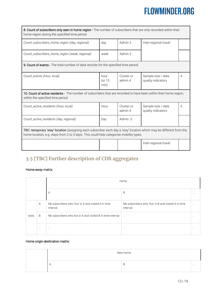| 8. Count of subscribers only seen in home region - The number of subscribers that are only recorded within their<br>home region during the specified time period                                               |                          |                       |                                          |                |  |
|----------------------------------------------------------------------------------------------------------------------------------------------------------------------------------------------------------------|--------------------------|-----------------------|------------------------------------------|----------------|--|
| Count_subscribers_home_region (day, regional)                                                                                                                                                                  | day                      | Admin 3               | Inter-regional travel                    |                |  |
| Count_subscribers_home_region (week, regional)                                                                                                                                                                 | Admin 3<br>week          |                       |                                          |                |  |
| <b>9. Count of events</b> - The total number of data records for the specified time period.                                                                                                                    |                          |                       |                                          |                |  |
| Count_events (hour, local)                                                                                                                                                                                     | hour<br>(or $15$<br>min) | Cluster or<br>admin 4 | Sample size / data<br>quality indicators | $\overline{4}$ |  |
| 10. Count of active residents - The number of subscribers that are recorded to have been within their home region,<br>within the specified time period                                                         |                          |                       |                                          |                |  |
| Count_active_residents (hour, local)                                                                                                                                                                           | Hour                     | Cluster or<br>admin 4 | Sample size / data<br>quality indicators | 5              |  |
| Count_active_residents (day, regional)                                                                                                                                                                         | Day                      | Admin 3               |                                          |                |  |
| TBC: temporary 'stay' location (assigning each subscriber each day a 'stay' location which may be different from the<br>home location, e.g. stays from 2 to 3 days. This could help categorize mobility types. |                          |                       |                                          |                |  |
|                                                                                                                                                                                                                |                          |                       | Inter-regional travel                    |                |  |

### <span id="page-13-0"></span>**3.5 [TBC] Further description of CDR aggregates**

#### Home-away matrix:

|        |          | home                                                             |                                                                  |                      |
|--------|----------|------------------------------------------------------------------|------------------------------------------------------------------|----------------------|
|        |          | A                                                                | B                                                                | $\cdots$             |
|        | A        | Nb subscribers who 'live' in A and visited A in time<br>interval | Nb subscribers who 'live' in B and visited A in time<br>interval | $\cdot$ .            |
| visits | B        | Nb subscribers who live in A and visited B in time interval      | $\ddotsc$                                                        | $\ddot{\phantom{0}}$ |
|        | $\cdots$ | $\cdot$ .                                                        | $\cdot$                                                          |                      |

#### Home origin-destination matrix:

| New home      |   |          |
|---------------|---|----------|
| -<br>$\cdots$ | Ь | $\cdots$ |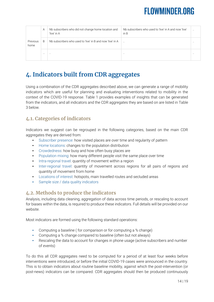|                  | A        | Nb subscribers who did not change home location and<br>'live' in A | Nb subscribers who used to 'live' in A and now 'live'<br>in B |         |
|------------------|----------|--------------------------------------------------------------------|---------------------------------------------------------------|---------|
| Previous<br>home | B        | Nb subscribers who used to 'live' in B and now 'live' in A         | $\ddot{\phantom{a}}$                                          | .       |
|                  | $\cdots$ | $\cdot$ .                                                          | $\cdot$ .                                                     | $\cdot$ |

### <span id="page-14-0"></span>**4. Indicators built from CDR aggregates**

Using a combination of the CDR aggregates described above, we can generate a range of mobility indicators which are useful for planning and evaluating interventions related to mobility in the context of the COVID-19 response. Table 1 provides examples of insights that can be generated from the indicators, and all indicators and the CDR aggregates they are based on are listed in Table 3 below.

### <span id="page-14-1"></span>**4.1. Categories of indicators**

Indicators we suggest can be regrouped in the following categories, based on the main CDR aggregates they are derived from:

- Subscriber presence: how visited places are over time and regularity of pattern
- Home locations: changes to the population distribution
- Crowdedness: how busy and how often busy places are
- **•** Population mixing: how many different people visit the same place over time
- **•** Intra-regional travel: quantity of movement within a region
- Inter-regional travel: quantity of movement across regions for all pairs of regions and quantity of movement from home
- Locations of interest: hotspots, main travelled routes and secluded areas
- **•** Sample size / data quality indicators

### <span id="page-14-2"></span>**4.2. Methods to produce the indicators**

Analysis, including data cleaning, aggregation of data across time periods, or rescaling to account for biases within the data, is required to produce these indicators. Full details will be provided on our website.

Most indicators are formed using the following standard operations:

- Computing a baseline ( for comparison or for computing a % change)
- Computing a % change compared to baseline (often but not always)
- Rescaling the data to account for changes in phone usage (active subscribers and number of events)

To do this all CDR aggregates need to be computed for a period of at least four weeks before interventions were introduced, or before the initial COVID-19 cases were announced in the country. This is to obtain indicators about routine baseline mobility, against which the post-intervention (or post-news) indicators can be compared. CDR aggregates should then be produced continuously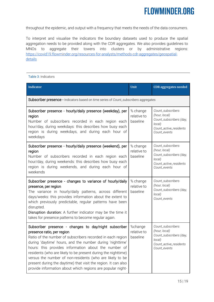throughout the epidemic, and output with a frequency that meets the needs of the data consumers.

To interpret and visualise the indicators the boundary datasets used to produce the spatial aggregation needs to be provided along with the CDR aggregates. We also provides guidelines to MNOs to aggregate their towers into clusters or by administrative regions: [https://covid19.flowminder.org/resources-for-analysts/methods-cdr-aggregates/geospatial](https://covid19.flowminder.org/resources-for-analysts/methods-cdr-aggregates/geospatial-details)**[details](https://covid19.flowminder.org/resources-for-analysts/methods-cdr-aggregates/geospatial-details)** 

Table 3: Indicators

| <b>Indicator</b>                                                                                                                                                                                                                                                                                                                                                                                                                                                                                                                    | Unit                                | <b>CDR</b> aggregates needed                                                                                      |
|-------------------------------------------------------------------------------------------------------------------------------------------------------------------------------------------------------------------------------------------------------------------------------------------------------------------------------------------------------------------------------------------------------------------------------------------------------------------------------------------------------------------------------------|-------------------------------------|-------------------------------------------------------------------------------------------------------------------|
| Subscriber presence - Indicators based on time series of Count_subscribers aggregates                                                                                                                                                                                                                                                                                                                                                                                                                                               |                                     |                                                                                                                   |
| Subscriber presence - hourly/daily presence (weekday), per<br>region<br>Number of subscribers recorded in each region each<br>hour/day, during weekdays: this describes how busy each<br>region is during weekdays, and during each hour of<br>weekdays                                                                                                                                                                                                                                                                             | % change<br>relative to<br>baseline | Count_subscribers<br>(hour, local)<br>Count_subscribers (day,<br>local)<br>Count_active_residents<br>Count_events |
| Subscriber presence - hourly/daily presence (weekend), per<br>region<br>Number of subscribers recorded in each region each<br>hour/day, during weekends: this describes how busy each<br>region is during weekends, and during each hour of<br>weekends                                                                                                                                                                                                                                                                             | % change<br>relative to<br>baseline | Count_subscribers<br>(hour, local)<br>Count_subscribers (day,<br>local)<br>Count_active_residents<br>Count_events |
| Subscriber presence - changes to variance of hourly/daily<br>presence, per region<br>The variance in hourly/daily patterns, across different<br>days/weeks: this provides information about the extent to<br>which previously predictable, regular patterns have been<br>disrupted.<br>Disruption duration: A further indicator may be the time it<br>takes for presence patterns to become regular again.                                                                                                                          | % change<br>relative to<br>baseline | Count_subscribers<br>(hour, local)<br>Count_subscribers (day,<br>local)<br>Count_events                           |
| Subscriber presence - changes to day/night subscriber<br>presence ratio, per region<br>Ratio of the number of subscribers recorded in each region<br>during 'daytime' hours, and the number during 'nighttime'<br>hours: this provides information about the number of<br>residents (who are likely to be present during the nighttime)<br>versus the number of non-residents (who are likely to be<br>present during the daytime) that visit the region. It can also<br>provide information about which regions are popular night- | %change<br>relative to<br>baseline  | Count_subscribers<br>(hour, local)<br>Count_subscribers (day,<br>local)<br>Count_active_residents<br>Count_events |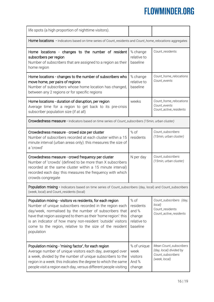| life spots (a high proportion of nighttime visitors).                                                                                                                                                                                                                                                                                                                                       |                                                                 |                                                                                         |  |  |
|---------------------------------------------------------------------------------------------------------------------------------------------------------------------------------------------------------------------------------------------------------------------------------------------------------------------------------------------------------------------------------------------|-----------------------------------------------------------------|-----------------------------------------------------------------------------------------|--|--|
| <b>Home locations</b> - Indicators based on time series of Count_residents and Count_home_relocations aggregates                                                                                                                                                                                                                                                                            |                                                                 |                                                                                         |  |  |
| Home locations - changes to the number of resident<br>subscribers per region<br>Number of subscribers that are assigned to a region as their<br>home region                                                                                                                                                                                                                                 | % change<br>relative to<br>baseline                             | Count_residents                                                                         |  |  |
| Home locations - changes to the number of subscribers who<br>move home, per pairs of regions<br>Number of subscribers whose home location has changed,<br>between any 2 regions or for specific regions                                                                                                                                                                                     | % change<br>relative to<br>baseline                             | Count_home_relocations<br>Count_events                                                  |  |  |
| Home locations - duration of disruption, per region<br>Average time for a region to get back to its pre-crisis<br>subscriber population size (if at all)                                                                                                                                                                                                                                    | weeks                                                           | Count_home_relocations<br>Count_events<br>Count_active_residents                        |  |  |
| Crowdedness measure - Indicators based on time series of Count_subscribers (15min, urban cluster)                                                                                                                                                                                                                                                                                           |                                                                 |                                                                                         |  |  |
| Crowdedness measure - crowd size per cluster<br>Number of subscribers recorded at each cluster within a 15<br>minute interval (urban areas only): this measures the size of<br>a 'crowd'                                                                                                                                                                                                    | $%$ of<br>residents                                             | Count_subscribers<br>(15min, urban cluster)                                             |  |  |
| Crowdedness measure - crowd frequency per cluster<br>Number of 'crowds' (defined to be more than X subscribers<br>recorded at the same cluster within a 15 minute interval)<br>recorded each day: this measures the frequency with which<br>crowds congregate                                                                                                                               | N per day                                                       | Count_subscribers<br>(15min, urban cluster)                                             |  |  |
| Population mixing - Indicators based on time series of Count_subscribers (day, local) and Count_subscribers<br>(week, local) and Count_residents (local)                                                                                                                                                                                                                                    |                                                                 |                                                                                         |  |  |
| Population mixing - visitors vs residents, for each region<br>Number of unique subscribers recorded in the region each<br>day/week, normalised by the number of subscribers that<br>have that region assigned to them as their 'home region': this<br>is an indicator of how many non-resident 'outside' visitors<br>come to the region, relative to the size of the resident<br>population | % of<br>residents<br>and %<br>change<br>relative to<br>baseline | Count_subscribers (day,<br>local)<br>Count_residents<br>Count_active_residents          |  |  |
| Population mixing - 'mixing factor', for each region<br>Average number of unique visitors each day, averaged over<br>a week, divided by the number of unique subscribers to the<br>region in a week: this indicates the degree to which the same<br>people visit a region each day, versus different people visiting                                                                        | % of unique<br>week<br>visitors<br>And %<br>change              | Mean Count_subscribers<br>(day, local) divided by<br>Count_subscribers<br>(week, local) |  |  |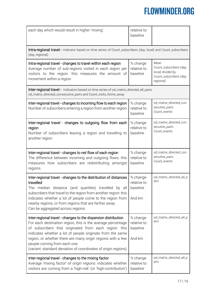| each day which would result in higher 'mixing'.                                                                                                                                                                                                                                                                                                                      | relative to<br>baseline                       |                                                                                              |  |  |
|----------------------------------------------------------------------------------------------------------------------------------------------------------------------------------------------------------------------------------------------------------------------------------------------------------------------------------------------------------------------|-----------------------------------------------|----------------------------------------------------------------------------------------------|--|--|
| Intra-regional travel - Indicator based on time series of Count_subscribers (day, local) and Count_subscribers<br>(day, regional)                                                                                                                                                                                                                                    |                                               |                                                                                              |  |  |
| Intra-regional travel - changes to travel within each region<br>Average number of sub-regions visited in each region per<br>visitors to the region: this measures the amount of<br>movement within a region                                                                                                                                                          | % change<br>relative to<br>baseline           | Mean<br>Count_subscribers (day,<br>local) divided by<br>Count_subscribers (day,<br>regional) |  |  |
| Inter-regional travel - Indicators based on time series of od_matrix_directed_all_pairs,<br>od_matrix_directed_consecutive_pairs and Count_visits_home_away                                                                                                                                                                                                          |                                               |                                                                                              |  |  |
| Inter-regional travel - changes to incoming flow to each region<br>Number of subscribers entering a region from another region                                                                                                                                                                                                                                       | % change<br>relative to<br>baseline           | od_matrix_directed_con<br>secutive_pairs<br>Count_events                                     |  |  |
| Inter-regional travel - changes to outgoing flow from each<br>region<br>Number of subscribers leaving a region and travelling to<br>another region                                                                                                                                                                                                                   | % change<br>relative to<br>baseline           | od_matrix_directed_con<br>secutive_pairs<br>Count events                                     |  |  |
| Inter-regional travel - changes to net flow of each region<br>The difference between incoming and outgoing flows: this<br>measures how subscribers are redistributing<br>amongst<br>regions                                                                                                                                                                          | % change<br>relative to<br>baseline           | od_matrix_directed_con<br>secutive_pairs<br>Count_events                                     |  |  |
| Inter-regional travel - changes to the distribution of distances<br>travelled<br>The median distance (and quartiles) travelled by all<br>subscribers that travel to the region from another region: this<br>indicates whether a lot of people come to the region from<br>nearby regions, or from regions that are farther away.<br>Can be aggregated across regions. | % change<br>relative to<br>baseline<br>And km | od_matrix_directed_all_p<br>airs                                                             |  |  |
| Inter-regional travel - changes to the dispersion distribution<br>For each destination region, this is the average percentage<br>of subscribers that originated from each region: this<br>indicates whether a lot of people originate from the same<br>region, or whether there are many origin regions with a few                                                   | % change<br>relative to<br>baseline           | od_matrix_directed_all_p<br>airs                                                             |  |  |
| people coming from each one.<br>(variant: standard deviation of coordinates of origin regions)                                                                                                                                                                                                                                                                       | And km                                        |                                                                                              |  |  |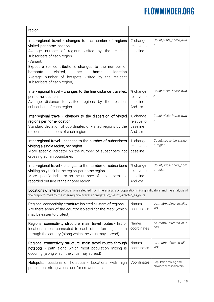| region                                                                                                                                                                                                                                                                                                                                                                                 |                                               |                                                 |  |  |
|----------------------------------------------------------------------------------------------------------------------------------------------------------------------------------------------------------------------------------------------------------------------------------------------------------------------------------------------------------------------------------------|-----------------------------------------------|-------------------------------------------------|--|--|
| Inter-regional travel - changes to the number of regions<br>visited, per home location<br>Average number of regions visited by the resident<br>subscribers of each region<br>(Variant:<br>Exposure (or contribution): changes to the number of<br>visited,<br>home<br>location<br>hotspots<br>per<br>Average number of hotspots visited by the resident<br>subscribers of each region) | % change<br>relative to<br>baseline           | Count_visits_home_awa<br>у                      |  |  |
| Inter-regional travel - changes to the line distance travelled,<br>per home location<br>Average distance to visited regions by the resident<br>subscribers of each region                                                                                                                                                                                                              | % change<br>relative to<br>baseline<br>And km | Count_visits_home_awa<br>у                      |  |  |
| Inter-regional travel - changes to the dispersion of visited<br>regions per home location<br>Standard deviation of coordinates of visited regions by the<br>resident subscribers of each region                                                                                                                                                                                        | % change<br>relative to<br>baseline<br>And km | Count_visits_home_awa<br>у                      |  |  |
| Inter-regional travel - changes to the number of subscribers<br>visiting a single region, per region<br>More specific indicator on the number of subscribers not<br>crossing admin boundaries                                                                                                                                                                                          | % change<br>relative to<br>baseline           | Count_subscribers_singl<br>e_region             |  |  |
| Inter-regional travel - changes to the number of subscribers<br>visiting only their home region, per home region<br>More specific indicator on the number of subscribers not<br>recorded outside of their home region                                                                                                                                                                  | % change<br>relative to<br>baseline<br>And km | Count_subscribers_hom<br>e_region               |  |  |
| Locations of interest - Locations selected from the analysis of population mixing indicators and the analysis of<br>the graph formed by the inter-regional travel aggregate od_matrix_directed_all_pairs                                                                                                                                                                               |                                               |                                                 |  |  |
| Regional connectivity structure: isolated clusters of regions<br>Are there areas of the country isolated for the rest? (which<br>may be easier to protect)                                                                                                                                                                                                                             | Names,<br>coordinates                         | od_matrix_directed_all_p<br>airs                |  |  |
| Regional connectivity structure: main travel routes - list of<br>locations most connected to each other forming a path<br>through the country (along which the virus may spread)                                                                                                                                                                                                       | Names,<br>coordinates                         | od_matrix_directed_all_p<br>airs                |  |  |
| Regional connectivity structure: main travel routes through<br>hotspots - path along which most population mixing is<br>occuring (along which the virus may spread)                                                                                                                                                                                                                    | Names,<br>coordinates                         | od_matrix_directed_all_p<br>airs                |  |  |
| Hotspots: locations of hotspots - Locations with high<br>population mixing values and/or crowdedness                                                                                                                                                                                                                                                                                   | Coordinates                                   | Population mixing and<br>crowdedness indicators |  |  |